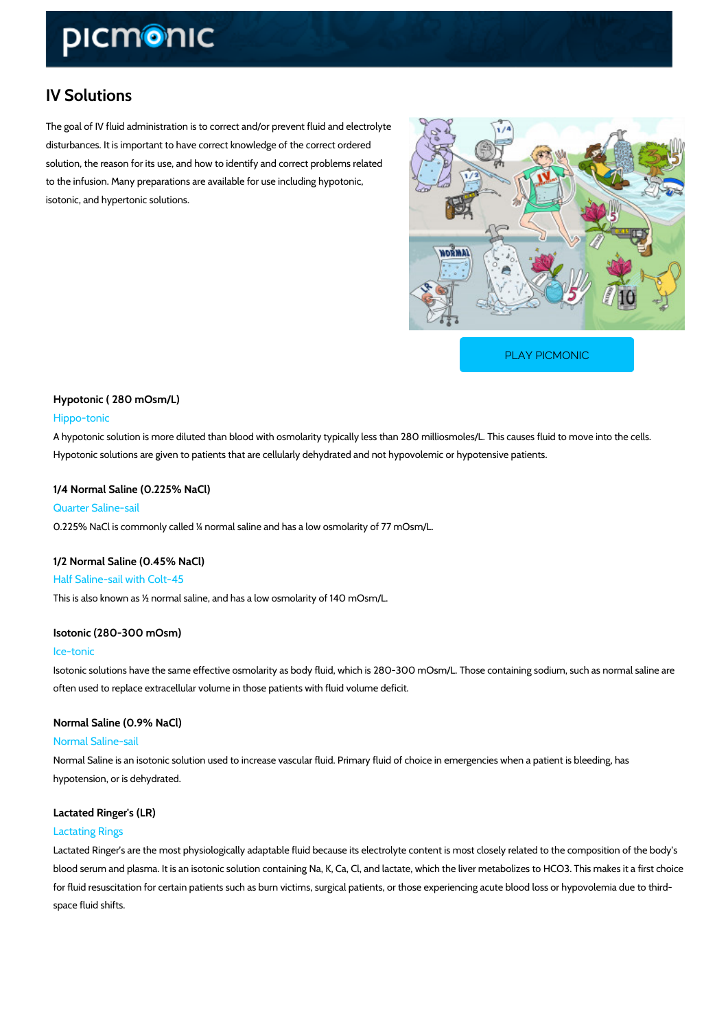# IV Solutions

The goal of IV fluid administration is to correct and/or prevent fluid and electrolyte disturbances. It is important to have correct knowledge of the correct ordered solution, the reason for its use, and how to identify and correct problems related to the infusion. Many preparations are available for use including hypotonic, isotonic, and hypertonic solutions.

[PLAY PICMONIC](https://www.picmonic.com/learn/iv-solutions_1579?utm_source=downloadable_content&utm_medium=distributedcontent&utm_campaign=pathways_pdf&utm_content=IV Solutions&utm_ad_group=leads&utm_market=all)

Hypotonic ( 280 mOsm/L) Hippo-tonic A hypotonic solution is more diluted than blood with osmolarity typically less than 280 millios Hypotonic solutions are given to patients that are cellularly dehydrated and not hypovolemic or

1/4 Normal Saline (0.225% NaCl) Quarter Saline-sail 0.225% NaCl is commonly called ¼ normal saline and has a low osmolarity of 77 mOsm/L.

1/2 Normal Saline (0.45% NaCl) Half Saline-sail with Colt-45 This is also known as ½ normal saline, and has a low osmolarity of 140 mOsm/L.

Isotonic (280-300 mOsm) Ice-tonic

Isotonic solutions have the same effective osmolarity as body fluid, which is 280-300 mOsm/L often used to replace extracellular volume in those patients with fluid volume deficit.

Normal Saline (0.9% NaCl) Normal Saline-sail Normal Saline is an isotonic solution used to increase vascular fluid. Primary fluid of choice hypotension, or is dehydrated.

Lactated Ringer's (LR)

# Lactating Rings

Lactated Ringer s are the most physiologically adaptable fluid because its electrolyte content blood serum and plasma. It is an isotonic solution containing Na, K, Ca, Cl, and lactate, whic for fluid resuscitation for certain patients such as burn victims, surgical patients, or those ex space fluid shifts.